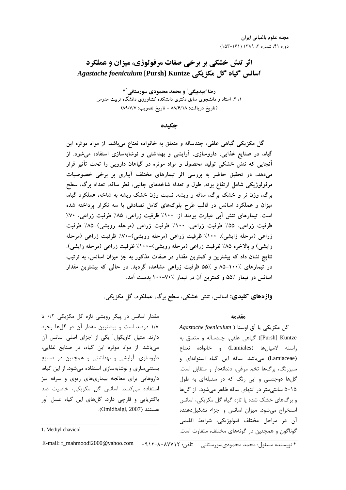اثر تنش خشكي بر برخي صفات مرفولوژي، ميزان و عملكرد اسانس گياه گل مكزيكي **Kuntze] Pursh [***foeniculum Agastache*

**رضا اميدبيگي<sup>1</sup> و محمد محمودي سورستاني<sup>1</sup>\*** ۱، ۲، استاد و دانشجوی سابق دکتری دانشکده کشاورزی دانشگاه تربیت مدرس (تاریخ دریافت: ۸۸/۶/۱۸ – تاریخ تصویب: ۸۹/۷/۷)

چكيده

کل مکزیکی کیاهی علقی، چندساله و متعلق به خانواده نعناع میباشد. از مواد موتره این گیاه، در صنایع عدایی، داروسازی، ارایشی و بهداشتی و نوشابهسازی استفاده میشود. از آنجایی که تنش خشکی تولید محصول و مواد موتره در کیاهان دارویی را تحت تأتیر فرار میدهد، در تحقیق حاضر به بررسی اتر تیمارهای مختلف ابیاری بر برخی خصوصیات مرفولوژیکی شامل ارتفاع بوته، طول و تعداد شاخههای جانبی، فطر سافه، تعداد برک، سطح برک، وزن تر و خشک برک، سافه و ریشه، نسبت وزن خشک ریشه به شاخه، عملکرد کیاه، میزان و عملکرد اسانس در فالب طرح بلوکهای کامل تصادفی با سه تکرار پرداخته شده است. تیمارهای تنش آبی عبارت بودند از: ۱۰۰٪ طرفیت زراعی، ۸۵٪ طرفیت زراعی، ۷۰٪ ظرفیت زراعی، ۵۵٪ ظرفیت زراعی، ۱۰۰٪ ظرفیت زراعی (مرحله رویشی)–۸۵٪ ظرفیت زراعی (مرحله زایشی)، ۱۰۰٪ ظرفیت زراعی (مرحله رویشی)-۷۰٪ ظرفیت زراعی (مرحله زایشی) و بالاخره ۸۵٪ طرفیت زراعی (مرحله رویشی)-۱۰۰٪ طرفیت زراعی (مرحله زایشی). نتایج نشان داد که بیشترین و کمترین مقدار در صفات مدکور به جز میزان اسانس، به ترتیب در تیمارهای ۱۰۰٪–۸۵ و ۵۵٪ ظرفیت زراعی مشاهده کردید. در حالی که بیشترین م*عد*ار اسانس در تیمار ۵۵٪ و کمترین آن در تیمار ۷۰٪–۱۰۰ بدست آمد.

**واژههای کلیدی:** اسانس، تنش خشکی، سطح برگ، عملکرد، گل مکزیکی.

#### مقدمه

 $A$ g*astache foeniculum* ) گل مکزیکی یا آق اوستا Pursh] Kuntze) گیاهی علفی، چندساله و متعلق به راسته لاميالها (Lamiales) و خانواده نعناع (Lamiaceae) میباشد. ساقه این گیاه استوانهای و سبزرنگ، برگھا تخم مرغی، دندانهدار و متقابل است. گلها دوجنسی و آبی رنگ که در سنبلهای به طول ۱۵–۵ سانتیمتر در انتهای ساقه ظاهر میشود. از گلها و برگهای خشک شده یا تازه گیاه گل مکزیکی، اسانس استخراج میشود. میزان اسانس و اجزاء تشکیلدهنده آن در مراحل مختلف فنولوژیکی، شرایط اقلیمی گوناگون و همچنین در گونههای مختلف، متفاوت است.

مقدار اسانس در پیکر رویشی تازه گل مکزیکی ۰/۲ تا ۱/۸ درصد است و بیشترین مقدار آن در گلها وجود دارند. متیل کاویکول' یکی از اجزای اصلی اسانس آن میباشد. از مواد موثره این گیاه، در صنایع غذایی، داروسازی، آرایشی و بهداشتی و همچنین در صنایع بستنیسازی و نوشابهسازی استفاده میشود. از این گیاه، داروهایی برای معالجه بیماریهای ریوی و سرفه نیز استفاده میکنند. اسانس گل مکزیکی، خاصیت ضد باکتریایی و قارچی دارد. گلهای این گیاه عسل آور .(Omidbaigi, 2007) -,

 $\overline{a}$ 

\* نویسنده مسئول: محمد محمودیسورستانی تلفن: ۴۱۲–۱۰۸–۹۱۲ E-mail: f\_mahmoodi2000@yahoo.com

<sup>1.</sup> Methyl chavicol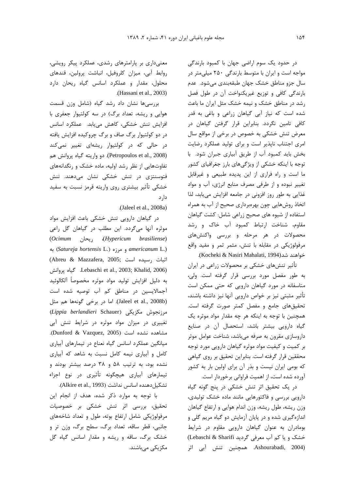در حدود یک سوم اراضی جهان با کمبود بارندگی مواجه است و ایران با متوسط بارندگی ۲۵۰ میلی متر در سال جزو مناطق خشک جهان طبقهبندی میشود. عدم بارندگی کافی و توزیع غیریکنواخت آن در طول فصل رشد در مناطق خشک و نیمه خشک مثل ایران ما باعث شده است که نیاز آبی گیاهان زراعی و باغی به قدر کافی تامین نگردد. بنابراین قرار گرفتن گیاهان در معرض تنش خشکی به خصوص در برخی از مواقع سال امری اجتناب ناپذیر است و برای تولید عملکرد رضایت بخش باید کمبود آب از طریق آبیاری جبران شود. با توجه با اینکه خشکی از ویژگیهای بارز جغرافیای کشور ما است و راه فراری از این پدیده طبیعی و غیرقابل تغییر نبوده و از طرفی مصرف منابع انرژی، آب و مواد غذایی به طور روز افزونی در جامعه افزایش می یابد، لذا اتخاذ روشهایی چون بهرهبرداری صحیح از آب به همراه استفاده از شیوه های صحیح زراعی شامل: کشت گیاهان مقاوم، شناخت ارتباط كمبود أب خاك و رشد محصولات در هر مرحله و بررسی واکنشهای مرفولوژیکی در مقابله با تنش، مثمر ثمر و مفید واقع خواهند شد(Kocheki & Nasiri Mahalati, 1994).

تأثیر تنشهای خشکی بر محصولات زراعی در ایران به طور مفصل مورد بررسی قرار گرفته است. ولی، متاسفانه در مورد گیاهان دارویی که حتی ممکن است تأثير مثبتي نيز بر خواص دارويي آنها نيز داشته باشند، تحقیق های جامع و مفصل کمتر صورت گرفته است. همچنین با توجه به اینکه هر چه مقدار مواد موثره یک گیاه دارویی بیشتر باشد، استحصال آن در صنایع داروسازی مقرون به صرفه میباشد، شناخت عوامل موثر بر کمیت و کیفیت مواد موثره گیاهان دارویی مورد توجه محققین قرار گرفته است. بنابراین تحقیق بر روی گیاهی که بومی ایران نیست و بذر آن برای اولین بار به کشور آورده شده است، از اهمیت فراوانی برخوردار است.

در یک تحقیق اثر تنش خشکی در پنج گونه گیاه دارویی بررسی و فاکتورهایی مانند ماده خشک تولیدی، وزن ریشه، طول ریشه، وزن اندام هوایی و ارتفاع گیاهان اندازهگیری شده و در پایان آزمایش دو گیاه مریم گلی و بومادران به عنوان گیاهان دارویی مقاوم در شرایط خشک و یا کم آب معرفی گردید Lebaschi & Sharifi) (Ashourabadi, 2004. همچنین تنش آبی اثر

معنیداری بر پارامترهای رشدی، عملکرد پیکر رویشی، روابط آبى، ميزان كلروفيل، انباشت پرولين، قندهاى محلول، مقدار و عملکرد اسانس گیاه ریحان دارد .(Hassani et al., 2003)

بررسیها نشان داد رشد گیاه (شامل وزن قسمت هوایی و ریشه، تعداد برگ) در سه کولتیوار جعفری با افزایش تنش خشکی، کاهش مییابد. عملکرد اسانس در دو کولتیوار برگ صاف و برگ چروکیده افزایش یافته در حالی که در کولتیوار ریشهای تغییر نمیکند (Petropoulos et al., 2008). دو واريته گياه پروانش هم تفاوتهایی از نظر رشد اولیه، ماده خشک و رنگدانههای فتوسنتزی در تنش خشکی نشان میدهند. تنش خشکی تأثیر بیشتری روی واریته قرمز نسبت به سفید دا, د

(Jaleel et al., 2008a)

در گیاهان دارویی تنش خشکی باعث افزایش مواد موثره أنها میگردد. این مطلب در گیاهان گل راعی (Ocimum ريحان) (Hypericum brasiliense) emericanum L.) و مرزه (Satureja hortensis L.) (Abreu & Mazzafera, 2005; رسيده است) Lebaschi et al., 2003; Khalid, 2006). كياه يروانش به دليل افزايش توليد مواد موثره مخصوصاً آلكالوئيد آجمالایسین در مناطق کم آب توصیه شده است (Jaleel et al., 2008b). اما در برخی گونهها هم مثل Actippia berlandieri Schauer) مرزنجوش مكزيكى تغییری در میزان مواد موثره در شرایط تنش آبی مشاهده نشده است (Dunford & Vazquez, 2005). میانگین عملکرد اسانس گیاه نعناع در تیمارهای آبیاری کامل و آبیاری نیمه کامل نسبت به شاهد که آبیاری نشده بود، به ترتیب ۵۸ و ۳۸ درصد بیشتر بودند و تیمارهای آبیاری هیچگونه تأثیری در نوع اجزاء تشكيل دهنده اسانس نداشت (Alkire et al., 1993).

با توجه به موارد ذكر شده، هدف از انجام اين تحقیق، بررسی اثر تنش خشکی بر خصوصیات مرفولوژیکی شامل ارتفاع بوته، طول و تعداد شاخههای جانبي، قطر ساقه، تعداد برگ، سطح برگ، وزن تر و خشک برگ، ساقه و ریشه و مقدار اسانس گیاه گل مکزیکے مے باشند.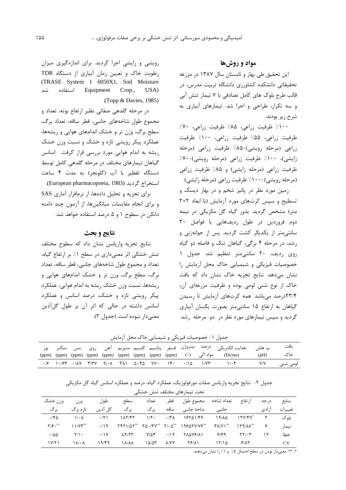## مواد و روشها

این تحقیق طی بهار و تابستان سال ۱۳۸۷ در مزرعه تحقیقاتی دانشکده کشاورزی دانشگاه تربیت مدرس، در قالب طرح بلوک های کامل تصادفی با ۷ تیمار تنش آبی و سه تکرار، طراحی و اجرا شد. تیمارهای آبیاری به شرح زير بودند:

١٠٠٪ ظرفيت زراعي، ٨۵٪ ظرفيت زراعي، ٧٠٪ ظرفیت زراعی، ۵۵٪ ظرفیت زراعی، ۱۰۰٪ ظرفیت زراعی (مرحله رویشی)-۸۵٪ ظرفیت زراعی (مرحله زایشی)، ۱۰۰٪ ظرفیت زراعی (مرحله رویشی)-۷۰٪ ظرفیت زراعی (مرحله زایشی) و ۸۵٪ ظرفیت زراعی (مرحله رويشي)-۱۰۰٪ ظرفيت زراعي (مرحله زايشي).

زمین مورد نظر در پائیز شخم و در بهار دیسک و تسطیح و سیس کرتهای مورد آزمایش (با ابعاد ۲×۲ متر) مشخص گردید. بذور گیاه گل مکزیکی در نیمه دوم فروردین در طول ردیفهایی با فواصل ۳۰ سانتی متر از یکدیگر کشت گردید. پس از جوانهزنی و رشد، در مرحله ۴ برگی، گیاهان تنک و فاصله دو گیاه روی ردیف، ۲۰ سانتی متر تنظیم شد. جدول ۱ خصوصیات فیزیکی و شیمیایی خاک محل آزمایش را نشان میدهد. نتایج تجزیه خاک نشان داد که بافت خاک از نوع شنی لومی بوده و ظرفیت مزرعهای آن، ۲۳/۴درصد می باشد. همه کرتهای آزمایش تا رسیدن گیاهان به ارتفاع ۱۵ سانتی متر بصورت یکسان آبیاری گردید و سپس تیمارهای مورد نظر در دو مرحله رشد

رویشی و زایشی اجرا گردید. برای اندازهگیری میزان رطوبت خاک و تعیین زمان آبیاری از دستگاه TDR (TRASE System 1 6050X1, Soil Moisture Equipment شد استفاده Crop., USA) (Topp & Davies,  $1985$ )

در مرحله گلدهی صفاتی نظیر ارتفاع بوته، تعداد و مجموع طول شاخههای جانبی، قطر ساقه، تعداد برگ، سطح برگ، وزن تر و خشک اندامهای هوایی و ریشهها، عملکرد پیکر رویشی تازه و خشک و نسبت وزن خشک ریشه به اندام هوایی مورد بررسی قرار گرفت. اسانس گیاهان تیمارهای مختلف در مرحله گلدهی کامل توسط دستگاه تقطیر با آب (کلونجر) به مدت ۴ ساعت استخراج گردید (European pharmacopoeia, 1983). برای تجزیه و تحلیل دادهها، از نرمافزار آماری SAS و برای انجام مقایسات میانگینها، از آزمون چند دامنه دانکن در سطوح ۱ و ۵ درصد استفاده خواهد شد.

# نتايج و بحث

نتايج تجزيه واريانس نشان داد كه سطوح مختلف تنش خشکی اثر معنی داری در سطح ۱٪ بر ارتفاع گیاه، تعداد و مجموع طول شاخههای جانبی، قطر ساقه، تعداد برگ، سطح برگ، وزن تر و خشک اندامهای هوایی و ریشهها، نسبت وزن خشک ریشه به اندام هوایی، عملکرد پیکر رویشی تازه و خشک، درصد اسانس و عملکرد اسانس داشته در حالی که اثر آن بر طول گل آذین معنى دار نبوده است (جدول ٢).

جدول ١- خصوصيات فيزيكي و شيميايي خاك محل آزمايش

|  |  |  |  |  | ب هاش       هدايت الكتريكي <sup>درصد</sup> <sup>نيتروژن   فسفر    پتاسيم    كلسيم   منيزيم    آهن     روى     مس     منگنز</sup> |      | ىافت     |
|--|--|--|--|--|----------------------------------------------------------------------------------------------------------------------------------|------|----------|
|  |  |  |  |  | (ppm) (ppm) (ppm) (ppm) (ppm) (ppm) (ppm) (ppm) (ppm) (ppm) (/.) مواد آلی (//) (ppm) (ppm) (ppm) (ppm                            | (bH) | خاک      |
|  |  |  |  |  |                                                                                                                                  |      | لومے شنے |

### جدول ۲– نتایج تجزیه واریانس صفات مورفولوژیک، عملکرد گیاه، درصد و عملکرد اسانس گیاه گل مکزیکی

| تحت تیمارهای مختلف تنش خشکے |                         |             |                 |              |                     |                                                               |                            |                                            |       |           |
|-----------------------------|-------------------------|-------------|-----------------|--------------|---------------------|---------------------------------------------------------------|----------------------------|--------------------------------------------|-------|-----------|
| وزن خشک                     | وزن                     | طول         | سطح             | تعداد        | قطہ                 | مجموع طول                                                     | تعداد شاخه                 | ا, تفاع                                    | د, حه | منابع     |
| بر گ                        | تا;ہ بر گ               | گل آذین     | برگ             | بر گ         | ساقه                | شاخه جانبی                                                    | جانبى                      |                                            | ا;ادی | تغييرات   |
| .760                        | $1/\cdot \Lambda$       | $\cdot$ /۲) | 11777           | $1/\zeta$ .  | $\cdot$ /۳ $\wedge$ | 18541/47                                                      | 19/10                      | $15Y/FV^*$                                 |       | ىلو ک     |
| $Y/\mathfrak{S}\cdot$ **    | $11/Y^{\ast\ast}$       | .19         | $YfY1/\Delta Y$ |              |                     | $Y\Delta \cdot /YV^{**}Y\cdot \Delta^{**}YQ\delta YV/VS^{**}$ | $Y\Lambda/Y$ <sup>**</sup> | $119/\lambda\lambda^{**}$                  | ۶     | تيمار     |
| $\cdot$ 155                 | $Y/\lambda$ .           | $\cdot$ /\Y | $\Lambda$ 9/٢٣  | $Y/\Delta f$ | $\cdot$ /19         | <b>TADVEIAI</b>                                               | ۶۱۶۹                       | $\mathbf{Y} \mathbf{Y} / \cdot \mathbf{Y}$ | ۱۲    | خطا       |
| 1Y/Y1                       | $\lambda/\cdot \lambda$ | ۱۹/۴۹       | <b>A/A/A</b>    | ۱۵/۵۳        | <b>A/YY</b>         | 78/11                                                         | 15/10                      | 9/15                                       |       | <b>CV</b> |

\*، \*\*: معنىدار بودن در سطح احتمال ۵٪ و ۱٪ را نشان مىدهند.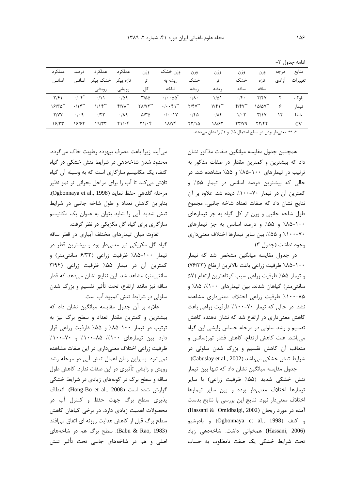| عملک د        | د, صد                            | عملکر د              | عملکر د                | وزن                 | وزن خشک                          | وزن               | وزن                  | وزن         | وزن                     | درجه  | منابع   |
|---------------|----------------------------------|----------------------|------------------------|---------------------|----------------------------------|-------------------|----------------------|-------------|-------------------------|-------|---------|
| اسانس         | اسانس                            | تازہ پیکر ۔ خشک پیکر |                        | تى                  | ریشه به                          | خشک               | تو                   | خشک         | تا; ہ                   | ا;ادی | تغييرات |
|               |                                  | رويشى                | رويشى                  | کل                  | شاخه                             | , يشه             | ر يشه                | ساقه        | ساقه                    |       |         |
| $\frac{1}{2}$ | $\cdot$ / $\cdot$ $\zeta^*$      | $\cdot/11$           | $\cdot$ /59            | $Y/\Delta\Delta$    | $\cdot/\cdot\cdot\Delta\Delta^*$ | $\cdot/\lambda$ . | $1/\Delta$           | $\cdot$ /۴۰ | Y/Y                     | ٢     | ىلو ک   |
| ۱۶/۳۵**       | $\cdot$ / $\gamma$ <sup>**</sup> | 1/15                 | $f/\gamma\Lambda^{**}$ | $Y\Lambda/YY$ **    | $\cdot/\cdot\cdot\mathfrak{f}'$  | $Y/Y^{**}$        | $Y/\mathfrak{f}$ \** | $Y/Y^{**}$  | $1\Delta/\Delta V^{**}$ | ۶     | تيمار   |
| Y/YY          | $\cdot$ / $\cdot$ 9              | .75                  | .119                   | $\Delta/\tau\Delta$ | $\cdot/\cdot\cdot$ \ $V$         | .760              | .78                  | $1/\cdot 7$ | T/Y                     | ۱۲    | خطا     |
| ۱۶۳۳          | 18187                            | 19/57                | $Y \cup \cdot f$       | $Y \cup \cdot f$    | $\lambda$ / $\gamma$ ۴           | 57/10             | 18/65                | YY/Y9       | 77/47                   |       | CV      |
|               |                                  |                      |                        |                     |                                  |                   |                      |             |                         |       |         |

ادامه جدول ۲-

\*، \*\*: معنىدار بودن در سطح احتمال ۵٪ و ۱٪ را نشان مىدهند.

همچنین جدول مقایسه میانگین صفات مذکور نشان داد که بیشترین و کمترین مقدار در صفات مذکور به ترتیب در تیمارهای ۱۰۰-۸۵٪ و ۵۵٪ مشاهده شد. در حالی که بیشترین درصد اسانس در تیمار ۵۵٪ و کمترین آن در تیمار ۷۰-۱۰۰٪ دیده شد. علاوه بر آن نتايج نشان داد كه صفات تعداد شاخه جانبي، مجموع طول شاخه جانبي ووزن تر كل گياه به جز تيمارهاي ۱۰۰-۸۵٪ و ۵۵٪ و درصد اسانس به جز تیمارهای ۷۰–۱۰۰٪ و ۵۵٪، بین سایر تیمارها اختلاف معنیداری وجود نداشت (جدول ٣).

در جدول مقایسه میانگین مشخص شد که تیمار ١٠٠-٨۵٪ ظرفيت زراعي باعث بالاترين ارتفاع (٧۶/٣٣) و تیمار ۵۵٪ ظرفیت زراعی سبب کوتاهترین ارتفاع (۵۷ سانتی متر) گیاهان شدند. بین تیمارهای ۱۰۰٪، ۸۵٪ و ۰۸۵-۱۰۰٪ ظرفیت زراعی اختلاف معنیداری مشاهده نشد. در حالی که تیمار ۷۰-۱۰۰٪ ظرفیت زراعی باعث کاهش معنیداری در ارتفاع شد که نشان دهنده کاهش تقسیم و رشد سلولی در مرحله حساس زایشی این گیاه می باشد. علت کاهش ارتقاع، کاهش فشار تورژسانس و متعاقب آن کاهش تقسیم و بزرگ شدن سلولی در شرايط تنش خشكي ميباشد (Cabuslay et al., 2002). جدول مقایسه میانگین نشان داد که تنها بین تیمار تنش خشکی شدید (۵۵٪ ظرفیت زراعی) با سایر تيمارها اختلاف معنى دار بوده وبين ساير تيمارها

اختلاف معنى دار نبود. نتايج اين بررسي با نتايج بدست (Hassani & Omidbaigi, 2002) أمده در مورد ريحان و كنف (Ogbonnaya et al., 1998) و بادرشبو (Hassani, 2006) همخوانی داشت. شاخهدهی زیاد تحت شرایط خشکی یک صفت نامطلوب به حساب

می آید، زیرا باعث مصرف بیهوده رطوبت خاک می گردد. محدود شدن شاخهدهی در شرایط تنش خشکی در گیاه کنف، یک مکانیسم سازگاری است که به وسیله آن گیاه تلاش میکند تا آب را برای مراحل بحرانی تر نمو نظیر مرحله گلدهی حفظ نماید (Ogbonnaya et al., 1998). بنابراین کاهش تعداد و طول شاخه جانبی در شرایط تنش شدید آبی را شاید بتوان به عنوان یک مکانیسم سازگاری برای گیاه گل مکزیکی در نظر گرفت.

تفاوت میان تیمارهای مختلف آبیاری در قطر ساقه گیاه گل مکزیکی نیز معنیدار بود و بیشترین قطر در تیمار ۱۰۰-۸۵٪ ظرفیت زراعی (۶/۳۲ سانتیمتر) و کمترین آن در تیمار ۵۵٪ ظرفیت زراعی (۳/۹۴ سانتی متر) مشاهد شد. این نتایج نشان میدهد که قطر ساقه نیز مانند ارتفاع، تحت تأثیر تقسیم و بزرگ شدن سلولی در شرایط تنش کمبود آب است.

علاوه بر آن جدول مقایسه میانگین نشان داد که بیشترین و کمترین مقدار تعداد و سطح برگ نیز به ترتیب در تیمار ۱۰۰-۸۵٪ و ۵۵٪ ظرفیت زراعی قرار دارد. بین تیمارهای ۱۰۰٪، ۸۵-۱۰۰٪ و ۷۰-۱۰٪ ظرفیت زراعی اختلاف معنیداری در این صفات مشاهده نمی شود. بنابراین زمان اعمال تنش آبی در مرحله رشد رویش و زایشی تأثیری در این صفات ندارد. کاهش طول ساقه و سطح برگ در گونههای زیادی در شرایط خشکی گزارش شده است (Hong-Bo et al., 2008). انعطاف پذیری سطح برگ جهت حفظ و کنترل آب در محصولات اهمیت زیادی دارد. در برخی گیاهان کاهش سطح برگ قبل از کاهش هدایت روزنه ای اتفاق میافتد (Babu & Rao, 1983). سطح برگ هم در شاخههای اصلی و هم در شاخههای جانبی تحت تأثیر تنش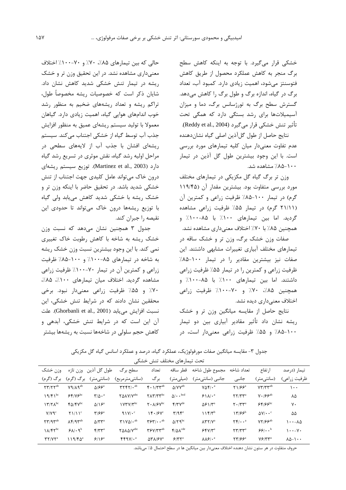خشکی قرار میگیرد. با توجه به اینکه کاهش سطح برگ منجر به کاهش عملکرد محصول از طریق کاهش فتوسنتز می شود، اهمیت زیادی دارد. کمبود آب، تعداد برگ در گیاه، اندازه برگ و طول برگ را کاهش میدهد. گسترش سطح برگ به تورژسانس برگ، دما و میزان آسیمیلاتها برای رشد بستگی دارد که همگی تحت تأثير تنش خشكي قرار مي گيرد (Reddy et al., 2004).

نتايج حاصل از طول گلآذين اصلي گياه نشاندهنده عدم تفاوت معنىدار ميان كليه تيمارهاى مورد بررسى است. با این وجود بیشترین طول گل آذین در تیمار ۱۰۰–۸۵٪ مشاهده شد.

وزن تر برگ گیاه گل مکزیکی در تیمارهای مختلف مورد بررسی متفاوت بود. بیشترین مقدار آن (۱۱۹/۴۵ گرم) در تیمار ۱۰۰-۸۵٪ ظرفیت زراعی و کمترین آن (۲۱/۱۱ گرم) در تیمار ۵۵٪ ظرفیت زراعی مشاهده گردید. اما بین تیمارهای ۱۰۰٪ با ۸۵-۱۰۰٪ و همچنین ۸۵٪ با ۷۰٪ اختلاف معنیداری مشاهده نشد.

صفات وزن خشک برگ، وزن تر و خشک ساقه در تیمارهای مختلف آبیاری تغییرات مشابهی داشتند. این صفات نیز بیشترین مقادیر را در تیمار ۱۰۰-۸۵٪ ظرفیت زراعی و کمترین را در تیمار ۵۵٪ ظرفیت زراعی داشتند. اما بين تيمارهاى ١٠٠٪ با ٨۵-١٠٠٪ و همچنین ۸۵٪، ۷۰٪ و ۷۰-۱۰٪ ظرفیت زراعی اختلاف معنىداري ديده نشد.

نتایج حاصل از مقایسه میانگین وزن تر و خشک ریشه نشان داد تأثیر مقادیر آبیاری بین دو تیمار ۱۰۰-۸۵٪ و ۵۵٪ ظرفیت زراعی معنیدار است، در

حالي كه بين تيمارهاي ٨۵٪، ٧٠٪ و ٧٠-١٠٠٪ اختلاف معنی داری مشاهده نشد. در این تحقیق وزن تر و خشک ریشه در تیمار تنش خشکی شدید کاهش نشان داد. شایان ذکر است که خصوصیات ریشه مخصوصاً طول، تراکم ریشه و تعداد ریشههای ضخیم به منظور رشد خوب اندامهای هوایی گیاه، اهمیت زیادی دارد. گیاهان معمولا با تولید سیستم ریشهای عمیق به منظور افزایش جذب آب توسط گیاه از خشکی اجتناب می کند. سیستم ریشهای افشان با جذب آب از لایههای سطحی در مراحل اولیه رشد گیاه، نقش موثری در تسریع رشد گیاه دارد (Martinez et al., 2003). توزيع سيستم ريشهاى درون خاک میتواند عامل کلیدی جهت اجتناب از تنش خشکی شدید باشد. در تحقیق حاضر با اینکه وزن تر و خشک ریشه با خشکی شدید کاهش می یابد ولی گیاه با توزیع ریشهها درون خاک میتواند تا حدودی این نقیصه را جبران کند.

جدول ٣ همچنين نشان مى دهد كه نسبت وزن خشک ریشه به شاخه با کاهش رطوبت خاک تغییری نمی کند. با این وجود بیشترین نسبت وزن خشک ریشه به شاخه در تیمارهای ۸۵-۱۰۰٪ و ۱۰۰-۸۵٪ ظرفیت زراعی و کمترین آن در تیمار ۷۰-۱۰۰٪ ظرفیت زراعی مشاهده گردید. اختلاف میان تیمارهای ١٠٠٪، ٨۵٪، ۷۰٪ و ۵۵٪ ظرفیت زراعی معنیدار نبود. برخی محققین نشان دادند که در شرایط تنش خشکی، این نسبت افزايش مى يابد (Ghorbanli et al., 2001). علت آن این است که در شرایط تنش خشکی، آبدهی و کاهش حجم سلولی در شاخهها نسبت به ریشهها بیشتر

جدول ۳- مقایسه میانگین صفات مورفولوژیک، عملکرد گیاه، درصد و عملکرد اسانس گیاه گل مکزیکی

| بحت بیمارهای محتلف بنش حشکی                     |                                        |                                                |                                                    |                                                                |                                       |                                     |                                                   |                                     |                         |  |  |
|-------------------------------------------------|----------------------------------------|------------------------------------------------|----------------------------------------------------|----------------------------------------------------------------|---------------------------------------|-------------------------------------|---------------------------------------------------|-------------------------------------|-------------------------|--|--|
| وزن خشک                                         |                                        | طول گل آذين وزن تازه                           | سطح برگ                                            | تعداد                                                          | قط ساقه                               | مجموع طول شاخه                      | تعداد شاخه                                        | ا, تفاع                             | تیمار (درصد             |  |  |
| برگ (گرم)                                       | برگ (گرم)                              | (سانتى،ىتر)                                    | (سانتىمترمربع)                                     | بر گ                                                           | (میلی متر)                            | جانبی (سانتیمتر)                    | جانبى                                             | (سانتىمتر)                          | ظرفیت زراعی)            |  |  |
| $\Upsilon \Upsilon / \Upsilon \Upsilon^{ab}$    | $V \cdot A / A^{ab}$                   | $\Delta$ / $5e^a$                              | $\mathbf{r}$                                       | $f \cdot 1/T$ $T^{ab}$                                         | $\Delta$ /YY <sup>ab</sup>            | $V\Delta f/\cdot$ <sup>a</sup>      | $Y1/99^a$                                         | $VT/TY^{ab}$                        | ۱۰۰                     |  |  |
| $19/F1^{bc}$                                    | $88/105^{bc}$                          | $\mathbf{Y}/\Delta \cdot \mathbf{a}$           | YAAV/Yabc                                          | $Y \Lambda Y / Y Y^{bc}$                                       | $\Delta/\cdot \cdot^{\rm bcd}$        | $91\text{A}/\cdot^a$                | $\mathsf{Y}\mathsf{Y}/\mathsf{Y}\mathsf{Y}^a$     | $V \cdot$ / $55^{ab}$               | ۸۵                      |  |  |
| $177 \lambda^{bc}$                              | $f \Delta / f V^{bc}$                  | $\Delta/\Omega$ <sup>a</sup>                   | $VYY/Y^{bc}$                                       | $\mathsf{Y} \cdot \mathsf{A}/\mathsf{F}\mathsf{V}^{\text{bc}}$ | $f/\tau v^{de}$                       | $\Delta$ ۶۱/۳ <sup>a</sup>          | $Y \cdot / Y^a$                                   | $88/85^{bc}$                        | γ٠                      |  |  |
| $V/Y$ ۹ $c$                                     | $Y1/11^c$                              | $\mathbf{Y}/\mathbf{S}\mathbf{S}^{\mathrm{a}}$ | $91V/\cdot$ <sup>c</sup>                           | 14.15V <sup>c</sup>                                            | $T/9$ $f^e$                           | $11f/T^b$                           | $17/55^b$                                         | $\Delta V/\cdot \cdot$ <sup>c</sup> | ۵۵                      |  |  |
| $\Upsilon \Upsilon / 9 \Upsilon^{ab}$           | $\Lambda$ F/9 $\mathbf{v}^{\text{ab}}$ | $\Delta/\tau\tau^a$                            | $\Upsilon$ $\Upsilon$ $\Delta$ $\cdots$ $\Upsilon$ | $\mathbf{r} \mathbf{r}$                                        | $\Delta$ / $\Upsilon$ 9 <sup>bc</sup> | $\Lambda$ ۳۲/ $V^a$                 | $\mathbf{Y} \mathbf{Y} / \cdot \cdot \mathbf{A}$  | $YY/\mathcal{F}\mathcal{F}^{ab}$    | ۱۰۰–۸۵                  |  |  |
| $1\Lambda/\mathfrak{F}\mathsf{Y}^{\mathrm{bc}}$ | $9A/\cdot$ 9 <sup>b</sup>              | $f/\tau\tau^a$                                 | $Y \Delta \lambda \Delta / Y^{abc}$                | $Y'Y/Y'Y^{ab}$                                                 | $f/\Delta\Lambda^{cde}$               | $55Y/T^a$                           | $\mathsf{Y} \mathsf{Y} / \mathsf{Y} \mathsf{Y}^a$ | 55/1.5                              | ۱۰۰–۷۰                  |  |  |
| $\mathbf{Y}\mathbf{Y}/\mathbf{Y}^a$             | $119/F\Delta^a$                        | $9/18^a$                                       | $f f q V / \cdot$ <sup>a</sup>                     | $\Delta Y \Lambda$ / $\epsilon V^a$                            | $5/\tau \tau^a$                       | $\Lambda\Lambda\mathcal{F}/\cdot^a$ | <b>TT/88</b>                                      | $V$ ۶/۳۳ <sup>a</sup>               | $\lambda\Delta-\lambda$ |  |  |

حروف متفاوت در هر ستون نشان دهنده اختلاف معنىدار بين ميانگين ها در سطح احتمال ۵٪ مي!شد.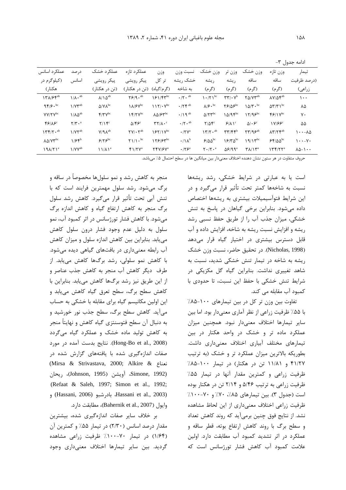ادامه جدول ٣-

| عملكرد اسانس            | در صد                           | عملکړ د خشک                         | عملكرد تازه                                     | وزن                                                   | نسبت وزن                                     | وزن خشک                                          | وزن تر                                                   | وزن خشک                                                 | وزن تازه                                    | تيمار                             |
|-------------------------|---------------------------------|-------------------------------------|-------------------------------------------------|-------------------------------------------------------|----------------------------------------------|--------------------------------------------------|----------------------------------------------------------|---------------------------------------------------------|---------------------------------------------|-----------------------------------|
| (کیلوگرم در             | اسانس                           | پیکر رویشی                          | پیکر رویشی                                      | کل<br>تر                                              | خشک ریشه                                     | ريشه                                             | ر يشه                                                    | ساقه                                                    | ساقه                                        | (درصد ظرفيت                       |
| هکتار)                  |                                 | (تن در هکتار)                       | (تن در هکتار)                                   | (گر م/گیاه)                                           | ىە شاخە                                      | (گرم)                                            | (گرم)                                                    | (گرم)                                                   | (گرم)                                       | زراعی)                            |
| 1٣٨/۶۴ab                | $1/\lambda \cdot$ <sup>ab</sup> | $\lambda/\lambda^{ab}$              | $Y$ $9.4$                                       | 191/F                                                 | $\cdot$ / $\mathsf{Y}$ $\cdot$ <sup>ab</sup> | $\cdot$ / $\gamma$ <sup>bc</sup>                 | $\mathbf{r}\mathbf{r}/\mathbf{v}^{\mathrm{b}}$           | $Y\Delta/VY^{ab}$                                       | $\lambda V/\Delta \mathbf{Y}^{ab}$          | ۱۰۰                               |
| 95.6                    | $1/VY^{ab}$                     | $\Delta$ / $\rm{V}$ A <sup>bc</sup> | $1\lambda$ / $5\mathrm{V}^{\mathrm{bc}}$        | 117/4                                                 | $\cdot$ / $\uparrow \uparrow$ <sup>ab</sup>  | $\lambda$ / $\mathfrak{S} \cdot$ <sup>bc</sup>   | $Y9/\Delta 9^{bc}$                                       | $10/T \cdot \text{bc}$                                  | $\Delta \Upsilon / \Upsilon$                | ۸۵                                |
| $YY/YV^{bc}$            | $1/\lambda\Delta^{ab}$          | $f/\tau \gamma^{bc}$                | 1 f/Y                                           | $\lambda\Delta$ / $5\degree$                          | $\cdot/\int$ q ab                            | $\Delta$ / $\Upsilon \Upsilon$ <sup>bc</sup>     | $10/9$ $e^{bc}$                                          | $17/95^{bc}$                                            | $f$ $g$ $\gamma$ $\gamma$ <sup>bc</sup>     | γ٠                                |
| 89/80                   | $Y/Y \cdot a$                   | $Y/Y^c$                             | $\Delta$ /۴۶ <sup>c</sup>                       | $\mathbf{r} \mathbf{r} / \mathbf{A} \cdot \mathbf{c}$ | $\cdot$ / $\mathsf{Y}$ $\cdot$ <sup>ab</sup> | $Y/\Delta \mathcal{F}^c$                         | $9/\lambda$ <sup>c</sup>                                 | $\Delta$ / $\epsilon$ <sup>c</sup>                      | 1 <i>V/66</i>                               | ۵۵                                |
| $177/7 \cdot ab$        | $1/VY^{ab}$                     | $V / 9 A^{ab}$                      | $\mathsf{Y} \mathsf{Y} / \cdot \mathsf{Y}^{ab}$ | $157/1V^{bc}$                                         | $\cdot$ /۲ $V^a$                             | $\gamma \gamma / \gamma \cdot \alpha^b$          | $\mathbf{r}\mathbf{r}/\mathbf{r}\mathbf{r}^{\mathrm{b}}$ | $\mathsf{Y}\mathsf{Y}/\mathsf{q}\mathsf{S}^{\text{ab}}$ | $\Lambda \Upsilon / \Upsilon \Upsilon^{ab}$ | ۱۰۰–۸۵                            |
| $\Lambda\Delta/VV^{bc}$ | $1/5$ $5$                       | 9186                                | $\Upsilon$ )/ $\cdot$ bc                        | 178/8 pbc                                             | $\cdot/\Lambda^b$                            | $8/40^{bc}$                                      | $18/\mu\delta^{bc}$                                      | $9/15^{\rm bc}$                                         | $55/00^{6}$                                 | ۰۷–۱۰۰                            |
| 19A/Y1 <sup>a</sup>     | $1/VV^{ab}$                     | $11/\lambda$ <sup>a</sup>           | $f1/TV^a$                                       | TFV/۶V <sup>a</sup>                                   | $\cdot$ /۲۶ <sup>a</sup>                     | $\mathbf{Y} \cdot / \mathbf{Y} \cdot \mathbf{a}$ | $\Delta$ ۶/۹۹                                            | $\mathbf{Y}$ $\Lambda$ $\mathbf{Y}^{\mathrm{a}}$        | $177/77^a$                                  | $\lambda\Delta-\lambda\cdot\cdot$ |

حروف متفاوت در هر ستون نشان دهنده اختلاف معنی دار بین میانگین ها در سطح احتمال ۵٪ می باشد.

است یا به عبارتی در شرایط خشکی، رشد ریشهها نسبت به شاخهها کمتر تحت تأثیر قرار میگیرد و در این شرایط فتوآسیمیلات بیشتری به ریشهها اختصاص داده می شود. بنابراین برخی گیاهان در پاسخ به تنش خشکی، میزان جذب آب را از طریق حفظ نسبی رشد ریشه و افزایش نسبت ریشه به شاخه، افزایش داده و آب قابل دسترس بیشتری در اختیار گیاه قرار میدهد (Nicholas, 1998). در تحقیق حاضر، نسبت وزن خشک ریشه به شاخه در تیمار تنش خشکی شدید، نسبت به شاهد تغییری نداشت. بنابراین گیاه گل مکزیکی در شرايط تنش خشكى با حفظ اين نسبت، تا حدودى با كمبود آب مقابله مي كند.

تفاوت بین وزن تر کل در بین تیمارهای ۱۰۰-۸۵٪ با ۵۵٪ ظرفیت زراعی از نظر آماری معنیدار بود. اما بین سایر تیمارها اختلاف معنیدار نبود. همچنین میزان عملکرد ماده تر و خشک در واحد هکتار در بین تیمارهای مختلف آبیاری اختلاف معنیداری داشت. بطوریکه بالاترین میزان عملکرد تر و خشک (به ترتیب ۴۱/۲۷ و ۱۱/۸۱ تن در هکتار) در تیمار ۱۰۰-۸۵٪ ظرفیت زراعی و کمترین مقدار آنها در تیمار ۵۵٪ ظرفیت زراعی به ترتیب ۵/۴۶ و ۲/۱۴ تن در هکتار بوده است (جدول ٣). بين تيمارهاي ٨۵٪، ٧٠٪ و ٧٠-١٠٠٪ ظرفیت زراعی اختلاف معنیداری از این لحاظ مشاهده نشد. از نتایج فوق چنین برمی آید که روند کاهش تعداد و سطح برگ با روند كاهش ارتفاع بوته، قطر ساقه و عملکرد در اثر تشدید کمبود آب مطابقت دارد. اولین علامت کمبود آب کاهش فشار تورژسانس است که

منجر به کاهش رشد و نمو سلولها مخصوصاً در ساقه و برگ می شود. رشد سلول مهمترین فرایند است که با تنش آبی تحت تأثیر قرار میگیرد. کاهش رشد سلول برگ منجر به کاهش ارتفاع گیاه و کاهش اندازه برگ میشود. با کاهش فشار تورژسانس در اثر کمبود آب، نمو سلول به دلیل عدم وجود فشار درون سلول کاهش می یابد. بنابراین بین کاهش اندازه سلول و میزان کاهش آب رابطه معنى دارى در بافتهاى كياهى ديده مى شود. با کاهش نمو سلولی، رشد برگها کاهش می یابد. از طرف دیگر کاهش آب منجر به کاهش جذب عناصر و از این طریق نیز رشد برگها کاهش می یابد. بنابراین با كاهش سطح برگ، سطح تعرق گياه كاهش مى يابد و این اولین مکانیسم گیاه برای مقابله با خشکی به حساب می آید. کاهش سطح برگ، سطح جذب نور خورشید و به دنبال آن سطح فتوسنتزي گياه كاهش و نهايتاً منجر به کاهش تولید ماده خشک و عملکرد گیاه میگردد (Hong-Bo et al., 2008). نتايج بدست آمده در مورد صفات اندازهگیری شده با یافتههای گزارش شده در (Mirsa & Strivastava, 2000; Alkire & نعناع Simone, 1992) أويشن (Johnson, 1995)، ريحان (Refaat & Saleh, 1997; Simon et al., 1992; Hassani et al., 2003) بادرشبو (Hassani, 2006) و وايول (Bahernik et al., 2007)، مطابقت دارد.

بر خلاف سایر صفات اندازهگیری شده، بیشترین مقدار درصد اسانس (۲/۳۰) در تیمار ۵۵٪ و کمترین آن (۱/۶۴) در تیمار ۷۰-۱۰۰٪ ظرفیت زراعی مشاهده گردید. بین سایر تیمارها اختلاف معنیداری وجود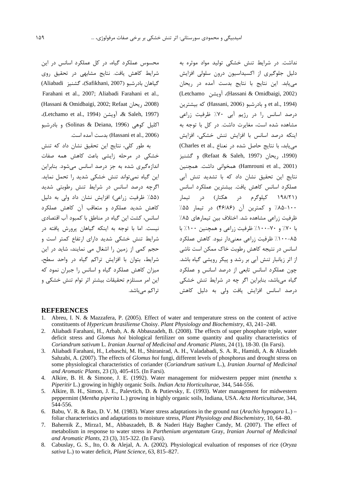نداشت. در شرایط تنش خشکی تولید مواد موثره به دلیل جلوگیری از اکسیداسیون درون سلولی افزایش می یابد. این نتایج با نتایج بدست آمده در ریحان (Letchamo آويشن) (Hassani & Omidbaigi, 2002) et al., 1994) و بادر شبو (Hassani, 2006) كه بيشترين درصد اسانس را در رژیم آبی ۷۰٪ ظرفیت زراعی مشاهده شده است، مغایرت داشت. در کل با توجه به اینکه درصد اسانس با افزایش تنش خشکی، افزایش (Charles et al., مییابد، با نتایج حاصل شده در نعناع) (1990، ريحان (Refaat & Saleh, 1997) و گشنيز (Hamrouni et al., 2001) همخوانی داشت. همچنین نتایج این تحقیق نشان داد که با تشدید تنش آبی عملکرد اسانس کاهش یافت. بیشترین عملکرد اسانس (۱۹۸/۲۱ کیلوگرم در هکتار) در تیمار ۱۰۰-۸۵٪ و کمترین آن (۴۶/۸۶) در تیمار ۵۵٪ ظرفیت زراعی مشاهده شد. اختلاف بین تیمارهای ۸۵٪ با ۷۰٪ و ۷۰-۱۰۰٪ ظرفیت زراعی و همچنین ۱۰۰٪ با ۸۵–۱۰۰٪ ظرفیت زراعی معنیدار نبود. کاهش عملکرد اسانس در نتیجه کاهش رطوبت خاک ممکن است ناشی از اثر زیانبار تنش آبی بر رشد و پیکر رویشی گیاه باشد. چون عملکرد اسانس تابعی از درصد اسانس و عملکرد گیاه میباشد، بنابراین اگر چه در شرایط تنش خشکی درصد اسانس افزایش یافت ولی به دلیل کاهش

محسوس عملکرد گیاه، در کل عملکرد اسانس در این شرایط کاهش یافت. نتایج مشابهی در تحقیق روی گياهان بادرشبو (Safikhani, 2007)، گشنيز Aliabadi) Farahani et al., 2007; Aliabadi Farahani et al., (Hassani & Omidbaigi, 2002; Refaat ريحان, 2008) (Letchamo et al., 1994) & Saleh, 1997)، اکلیل کوهی (Solinas & Deiana, 1996) و بادرشبو (Hassani et al., 2006) بدست آمده است.

به طور کلی، نتایج این تحقیق نشان داد که تنش خشکی در مرحله زایشی باعث کاهش همه صفات اندازهگیری شده به جز درصد اسانس میشود. بنابراین این گیاه نمی تواند تنش خشکی شدید را تحمل نماید. اگرچه درصد اسانس در شرایط تنش رطوبتی شدید (۵۵٪ ظرفیت زراعی) افزایش نشان داد ولی به دلیل کاهش شدید عملکرد و متعاقب آن کاهش عملکرد اسانس، كشت اين گياه در مناطق با كمبود آب اقتصادى .<br>نیست. اما با توجه به اینکه گیاهان پرورش یافته در شرایط تنش خشکی شدید دارای ارتفاع کمتر است و حجم کمی از زمین را اشغال می نمایند، شاید در این شرایط، بتوان با افزایش تراکم گیاه در واحد سطح، میزان کاهش عملکرد گیاه و اسانس را جبران نمود که این امر مستلزم تحقیقات بیشتر اثر توام تنش خشکی و تراکم مے باشد.

### **REFERENCES**

- 1. Abreu, I. N. & Mazzafera, P. (2005). Effect of water and temperature stress on the content of active constituents of Hypericum brasiliense Choisy. Plant Physiology and Biochemistry, 43, 241-248.
- $\mathcal{D}$ Aliabadi Farahani, H., Arbab, A. & Abbaszadeh, B. (2008). The effects of super phosphate triple, water deficit stress and *Glomus hoi* biological fertilizer on some quantity and quality characteristics of Coriandrum sativum L. Iranian Journal of Medicinal and Aromatic Plants, 24 (1), 18-30. (In Farsi).
- 3. Aliabadi Farahani, H., Lebaschi, M. H., Shiranirad, A. H., Valadabadi, S. A. R., Hamidi, A. & Alizadeh Sahzabi, A. (2007). The effects of Glomus hoi fungi, different levels of phosphorus and drought stress on some physiological characteristics of coriander (Coriandrum sativum L.), Iranian Journal of Medicinal and Aromatic Plants, 23 (3), 405-415. (In Farsi).
- 4. Alkire, B. H. & Simone, J. E. (1992). Water management for midwestern pepper mint (mentha x Piperitir L.) growing in highly organic Soils. Indian Acta Horticulturae, 344, 544-556.
- 5. Alkire, B. H., Simon, J. E., Palevtich, D. & Putievsky, E. (1993). Water management for midwestern peppermint (Mentha piperita L.) growing in highly organic soils, Indiana, USA. Acta Horticulturae, 344, 544-556.
- 6. Babu, V. R. & Rao, D. V. M. (1983). Water stress adaptations in the ground nut (Arachis hypogara L.) foliar characteristics and adaptations to moisture stress, *Plant Physiology and Biochemistry*, 10, 64–80.
- Bahernik Z., Mirza1, M., Abbaszadeh, B. & Naderi Hajy Bagher Candy, M. (2007). The effect of  $7\overline{ }$ metabolism in response to water stress in Parthenium argentatum Gray, Iranian Journal of Medicinal and Aromatic Plants, 23 (3), 315-322. (In Farsi).
- 8. Cabuslay, G. S., Ito, O. & Alejal, A. A. (2002). Physiological evaluation of responses of rice (Oryza sativa L.) to water deficit, Plant Science, 63, 815-827.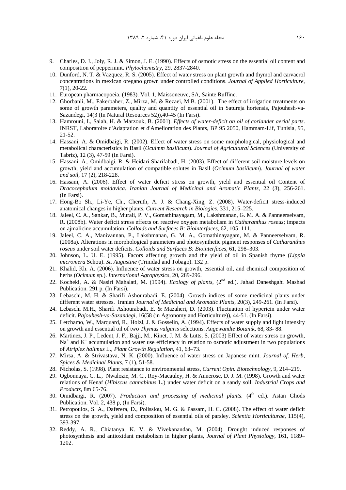- 9. Charles, D. J., Joly, R. J. & Simon, J. E. (1990). Effects of osmotic stress on the essential oil content and composition of peppermint. *Phytochemistry*, 29, 2837-2840.
- 10. Dunford, N. T. & Vazquez, R. S. (2005). Effect of water stress on plant growth and thymol and carvacrol concentrations in mexican oregano grown under controlled conditions. *Journal of Applied Horticulture*, 7(1), 20-22*.*
- 11. European pharmacopoeia. (1983). Vol. 1, Maissoneuve, SA, Sainte Ruffine.
- 12. Ghorbanli, M., Fakerbaher, Z., Mirza, M. & Rezaei, M.B. (2001). The effect of irrigation treatments on some of growth parameters, quality and quantity of essential oil in Satureja hortensis, Pajouhesh-va-Sazandegi, 14(3 (In Natural Resources 52)),40-45 (In Farsi).
- 13. Hamrouni, I., Salah, H. & Marzouk, B. (2001). *Effects of water-deficit on oil of coriander aerial parts*. INRST, Laboratoire d'Adaptation et d'Amelioration des Plants, BP 95 2050, Hammam-Lif, Tunisia, 95, 21-52.
- 14. Hassani, A. & Omidbaigi, R. (2002). Effect of water stress on some morphological, physiological and metabolical characteristics in Basil (*Ocuimm basilicum*). *Journal of Agricultural Sciences* (University of Tabriz), 12 (3), 47-59 (In Farsi).
- 15. Hassani, A., Omidbaigi, R. & Heidari Sharifabadi, H. (2003). Effect of different soil moisture levels on growth, yield and accumulation of compatible solutes in Basil (*Ocimum basilicum*). *Journal of water and soil*, 17 (2), 218-228.
- 16. Hassani, A. (2006). Effect of water deficit stress on growth, yield and essential oil Content of *Dracocephalum moldavica*. *Iranian Journal of Medicinal and Aromatic Plants*, 22 (3), 256-261. (In Farsi).
- 17. Hong-Bo Sh., Li-Ye, Ch., Cheruth, A. J. & Chang-Xing, Z. (2008). Water-deficit stress-induced anatomical changes in higher plants, *Current Research in Biologies*, 331, 215–225.
- 18. Jaleel, C. A., Sankar, B., Murali, P. V., Gomathinayagam, M., Lakshmanan, G. M. A. & Panneerselvam, R. (2008b). Water deficit stress effects on reactive oxygen metabolism in *Catharanthus roseus*; impacts on ajmalicine accumulation. *Colloids and Surfaces B: Biointerfaces*, 62, 105–111.
- 19. Jaleel, C. A., Manivannan, P., Lakshmanan, G. M. A., Gomathinayagam, M. & Panneerselvam, R. (2008a). Alterations in morphological parameters and photosynthetic pigment responses of *Catharanthus roseus* under soil water deficits. *Colloids and Surfaces B: Biointerfaces*, 61, 298–303.
- 20. Johnson, L. U. E. (1995). Facors affecting growth and the yield of oil in Spanish thyme (*Lippia micromera* Schou). *St. Augustine* (Trinidad and Tobago). 132 p.
- 21. Khalid, Kh. A. (2006). Influence of water stress on growth, essential oil, and chemical composition of herbs (*Ocimum* sp.). *International Agrophysics*, 20, 289-296.
- 22. Kocheki, A. & Nasiri Mahalati, M. (1994). *Ecology of plants*, (2<sup>nd</sup> ed.). Jahad Daneshgahi Mashad Publication. 291 p. (In Farsi).
- 23. Lebaschi, M. H. & Sharifi Ashourabadi, E. (2004). Growth indices of some medicinal plants under different water stresses. Iranian *Journal of Medicinal and Aromatic Plants*, 20(3), 249-261. (In Farsi).
- 24. Lebaschi M.H., Sharifi Ashourabadi, E. & Mazaheri, D. (2003). Fluctuation of hypericin under water deficit. *Pajouhesh-va-Sazandegi*, 16(58 (in Agronomy and Horticulture)), 44-51. (In Farsi).
- 25. Letchamo, W., Marquard, R., Holzl, J. & Gosselin, A. (1994). Effects of water supply and light intensity on growth and essential oil of two *Thymus vulgaris* selections. *Angewandte Botanik*, 68, 83- 88.
- 26. Martinez, J. P., Ledent, J. F., Bajji, M., Kinet, J. M. & Lutts, S. (2003) Effect of water stress on growth, Na<sup>+</sup> and K<sup>+</sup> accumulation and water use efficiency in relation to osmotic adjustment in two populations of *Atriplex halimus* L., *Plant Growth Regulation*, 41, 63–73.
- 27. Mirsa, A. & Strivastava, N. K. (2000). Influence of water stress on Japanese mint. *Journal of. Herb, Spices & Medicinal Plants*, 7 (1), 51-58.
- 28. Nicholas, S. (1998). Plant resistance to environmental stress, *Current Opin. Biotechnology*, 9, 214–219.
- 29. Ogbonnaya, C. L., Nwalozie, M. C., Roy-Macauley, H. & Annerose, D. J. M. (1998). Growth and water relations of Kenaf (*Hibiscus cannabinus* L.) under water deficit on a sandy soil. *Industrial Crops and Products*, 8m 65-76.
- 30. Omidbaigi, R. (2007). *Production and processing of medicinal plants*. (4<sup>th</sup> ed.). Astan Ghods Publication. Vol. 2, 438 p, (In Farsi).
- 31. Petropoulos, S. A., Daferera, D., Polissiou, M. G. & Passam, H. C. (2008). The effect of water deficit stress on the growth, yield and composition of essential oils of parsley. *Scientia Horticulturae*, 115(4), 393-397.
- 32. Reddy, A. R., Chiatanya, K. V. & Vivekanandan, M. (2004). Drought induced responses of photosynthesis and antioxidant metabolism in higher plants, *Journal of Plant Physiology*, 161, 1189– 1202.